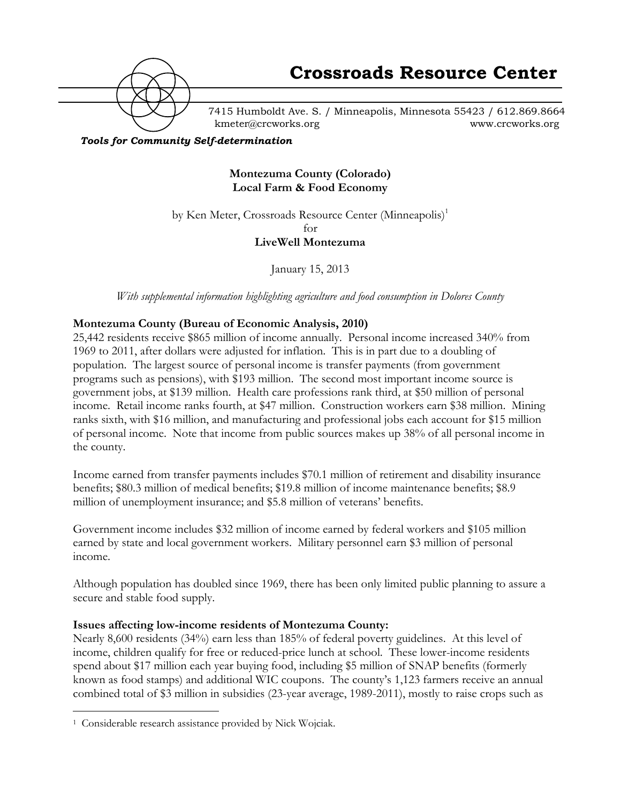

7415 Humboldt Ave. S. / Minneapolis, Minnesota 55423 / 612.869.8664 kmeter@crcworks.org www.crcworks.org

#### *Tools for Community Self-determination*

**Montezuma County (Colorado) Local Farm & Food Economy**

by Ken Meter, Crossroads Resource Center (Minneapolis)<sup>1</sup> for

**LiveWell Montezuma**

January 15, 2013

*With supplemental information highlighting agriculture and food consumption in Dolores County*

#### **Montezuma County (Bureau of Economic Analysis, 2010)**

25,442 residents receive \$865 million of income annually. Personal income increased 340% from 1969 to 2011, after dollars were adjusted for inflation. This is in part due to a doubling of population. The largest source of personal income is transfer payments (from government programs such as pensions), with \$193 million. The second most important income source is government jobs, at \$139 million. Health care professions rank third, at \$50 million of personal income. Retail income ranks fourth, at \$47 million. Construction workers earn \$38 million. Mining ranks sixth, with \$16 million, and manufacturing and professional jobs each account for \$15 million of personal income. Note that income from public sources makes up 38% of all personal income in the county.

Income earned from transfer payments includes \$70.1 million of retirement and disability insurance benefits; \$80.3 million of medical benefits; \$19.8 million of income maintenance benefits; \$8.9 million of unemployment insurance; and \$5.8 million of veterans' benefits.

Government income includes \$32 million of income earned by federal workers and \$105 million earned by state and local government workers. Military personnel earn \$3 million of personal income.

Although population has doubled since 1969, there has been only limited public planning to assure a secure and stable food supply.

#### **Issues affecting low-income residents of Montezuma County:**

Nearly 8,600 residents (34%) earn less than 185% of federal poverty guidelines. At this level of income, children qualify for free or reduced-price lunch at school. These lower-income residents spend about \$17 million each year buying food, including \$5 million of SNAP benefits (formerly known as food stamps) and additional WIC coupons. The county's 1,123 farmers receive an annual combined total of \$3 million in subsidies (23-year average, 1989-2011), mostly to raise crops such as

 <sup>1</sup> Considerable research assistance provided by Nick Wojciak.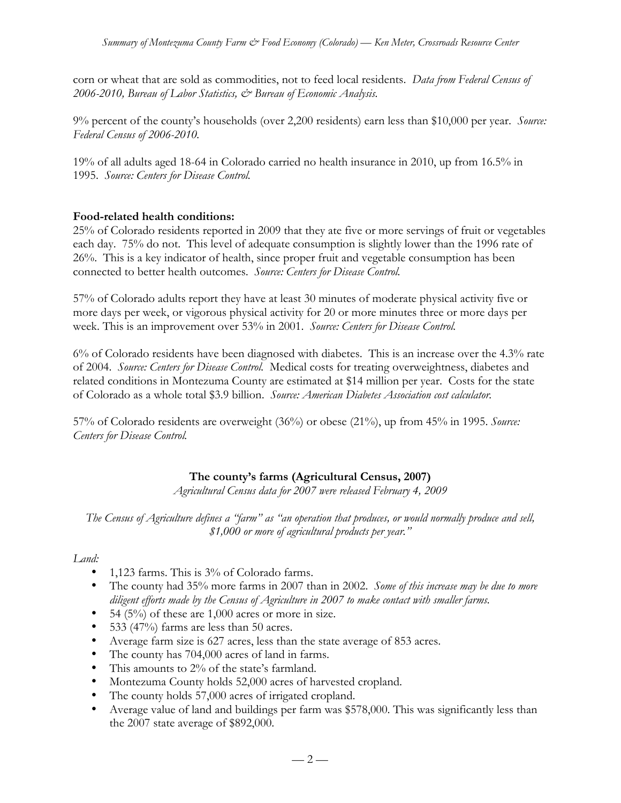corn or wheat that are sold as commodities, not to feed local residents. *Data from Federal Census of 2006-2010, Bureau of Labor Statistics, & Bureau of Economic Analysis.*

9% percent of the county's households (over 2,200 residents) earn less than \$10,000 per year. *Source: Federal Census of 2006-2010.*

19% of all adults aged 18-64 in Colorado carried no health insurance in 2010, up from 16.5% in 1995. *Source: Centers for Disease Control.*

# **Food-related health conditions:**

25% of Colorado residents reported in 2009 that they ate five or more servings of fruit or vegetables each day. 75% do not. This level of adequate consumption is slightly lower than the 1996 rate of 26%. This is a key indicator of health, since proper fruit and vegetable consumption has been connected to better health outcomes. *Source: Centers for Disease Control.*

57% of Colorado adults report they have at least 30 minutes of moderate physical activity five or more days per week, or vigorous physical activity for 20 or more minutes three or more days per week. This is an improvement over 53% in 2001. *Source: Centers for Disease Control.*

6% of Colorado residents have been diagnosed with diabetes. This is an increase over the 4.3% rate of 2004. *Source: Centers for Disease Control.* Medical costs for treating overweightness, diabetes and related conditions in Montezuma County are estimated at \$14 million per year. Costs for the state of Colorado as a whole total \$3.9 billion. *Source: American Diabetes Association cost calculator.*

57% of Colorado residents are overweight (36%) or obese (21%), up from 45% in 1995. *Source: Centers for Disease Control.*

# **The county's farms (Agricultural Census, 2007)**

*Agricultural Census data for 2007 were released February 4, 2009*

*The Census of Agriculture defines a "farm" as "an operation that produces, or would normally produce and sell, \$1,000 or more of agricultural products per year."*

# *Land:*

- 1,123 farms. This is 3% of Colorado farms.
- The county had 35% more farms in 2007 than in 2002. *Some of this increase may be due to more diligent efforts made by the Census of Agriculture in 2007 to make contact with smaller farms.*
- 54  $(5\%)$  of these are 1,000 acres or more in size.
- 533 (47%) farms are less than 50 acres.
- Average farm size is 627 acres, less than the state average of 853 acres.
- The county has 704,000 acres of land in farms.
- This amounts to 2% of the state's farmland.
- Montezuma County holds 52,000 acres of harvested cropland.
- The county holds 57,000 acres of irrigated cropland.
- Average value of land and buildings per farm was \$578,000. This was significantly less than the 2007 state average of \$892,000.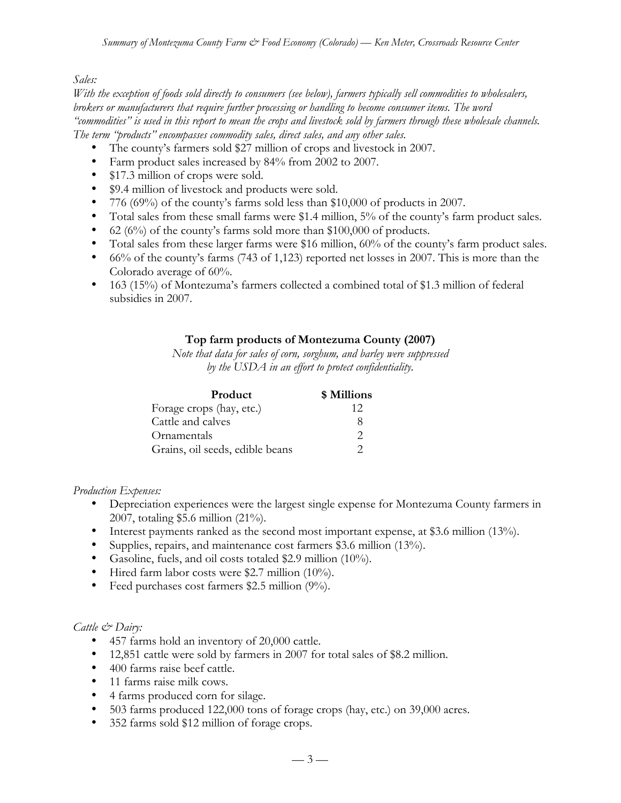#### *Sales:*

*With the exception of foods sold directly to consumers (see below), farmers typically sell commodities to wholesalers, brokers or manufacturers that require further processing or handling to become consumer items. The word "commodities" is used in this report to mean the crops and livestock sold by farmers through these wholesale channels. The term "products" encompasses commodity sales, direct sales, and any other sales.*

- The county's farmers sold \$27 million of crops and livestock in 2007.
- Farm product sales increased by 84% from 2002 to 2007.
- \$17.3 million of crops were sold.
- \$9.4 million of livestock and products were sold.
- 776 (69%) of the county's farms sold less than \$10,000 of products in 2007.
- Total sales from these small farms were \$1.4 million, 5% of the county's farm product sales.
- 62 (6%) of the county's farms sold more than \$100,000 of products.
- Total sales from these larger farms were \$16 million, 60% of the county's farm product sales.
- 66% of the county's farms (743 of 1,123) reported net losses in 2007. This is more than the Colorado average of 60%.
- 163 (15%) of Montezuma's farmers collected a combined total of \$1.3 million of federal subsidies in 2007.

# **Top farm products of Montezuma County (2007)**

*Note that data for sales of corn, sorghum, and barley were suppressed by the USDA in an effort to protect confidentiality.*

| <b>Product</b>                  | \$ Millions |
|---------------------------------|-------------|
| Forage crops (hay, etc.)        | 12          |
| Cattle and calves               | Χ           |
| Ornamentals                     | ာ           |
| Grains, oil seeds, edible beans |             |

*Production Expenses:*

- Depreciation experiences were the largest single expense for Montezuma County farmers in 2007, totaling \$5.6 million (21%).
- Interest payments ranked as the second most important expense, at \$3.6 million (13%).
- Supplies, repairs, and maintenance cost farmers \$3.6 million (13%).
- Gasoline, fuels, and oil costs totaled \$2.9 million (10%).
- Hired farm labor costs were \$2.7 million (10%).
- Feed purchases cost farmers \$2.5 million (9%).

#### *Cattle & Dairy:*

- 457 farms hold an inventory of 20,000 cattle.
- 12,851 cattle were sold by farmers in 2007 for total sales of \$8.2 million.
- 400 farms raise beef cattle.
- 11 farms raise milk cows.
- 4 farms produced corn for silage.
- 503 farms produced 122,000 tons of forage crops (hay, etc.) on 39,000 acres.
- 352 farms sold \$12 million of forage crops.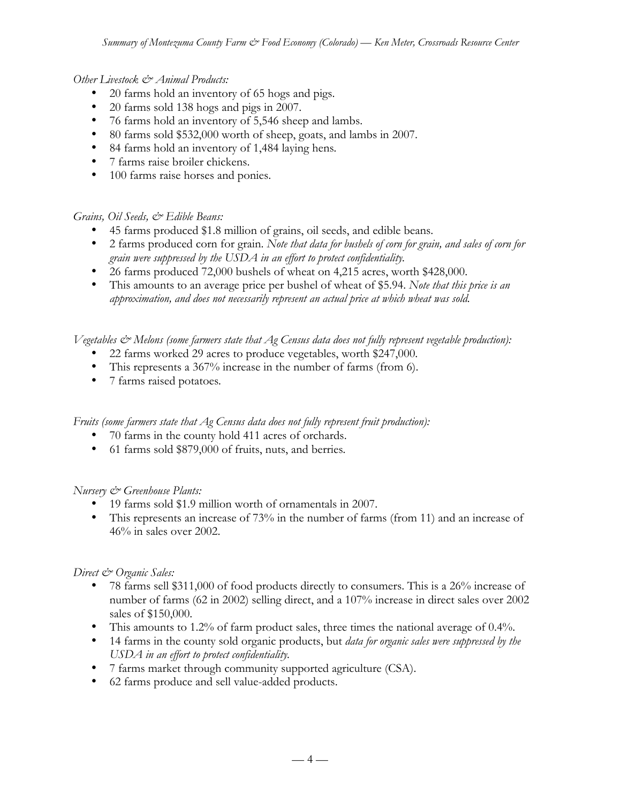#### *Other Livestock & Animal Products:*

- 20 farms hold an inventory of 65 hogs and pigs.
- 20 farms sold 138 hogs and pigs in 2007.
- 76 farms hold an inventory of 5,546 sheep and lambs.
- 80 farms sold \$532,000 worth of sheep, goats, and lambs in 2007.
- 84 farms hold an inventory of 1,484 laying hens*.*
- 7 farms raise broiler chickens.
- 100 farms raise horses and ponies.

# *Grains, Oil Seeds, & Edible Beans:*

- 45 farms produced \$1.8 million of grains, oil seeds, and edible beans.
- 2 farms produced corn for grain. *Note that data for bushels of corn for grain, and sales of corn for grain were suppressed by the USDA in an effort to protect confidentiality.*
- 26 farms produced 72,000 bushels of wheat on 4,215 acres, worth \$428,000.
- This amounts to an average price per bushel of wheat of \$5.94. *Note that this price is an approximation, and does not necessarily represent an actual price at which wheat was sold.*

*Vegetables & Melons (some farmers state that Ag Census data does not fully represent vegetable production):*

- 22 farms worked 29 acres to produce vegetables, worth \$247,000.
- This represents a 367% increase in the number of farms (from 6).
- 7 farms raised potatoes*.*

*Fruits (some farmers state that Ag Census data does not fully represent fruit production):*

- 70 farms in the county hold 411 acres of orchards.
- 61 farms sold \$879,000 of fruits, nuts, and berries*.*

# *Nursery & Greenhouse Plants:*

- 19 farms sold \$1.9 million worth of ornamentals in 2007.
- This represents an increase of 73% in the number of farms (from 11) and an increase of 46% in sales over 2002.

# *Direct & Organic Sales:*

- 78 farms sell \$311,000 of food products directly to consumers. This is a 26% increase of number of farms (62 in 2002) selling direct, and a 107% increase in direct sales over 2002 sales of \$150,000.
- This amounts to 1.2% of farm product sales, three times the national average of 0.4%.
- 14 farms in the county sold organic products, but *data for organic sales were suppressed by the USDA in an effort to protect confidentiality.*
- 7 farms market through community supported agriculture (CSA).
- 62 farms produce and sell value-added products.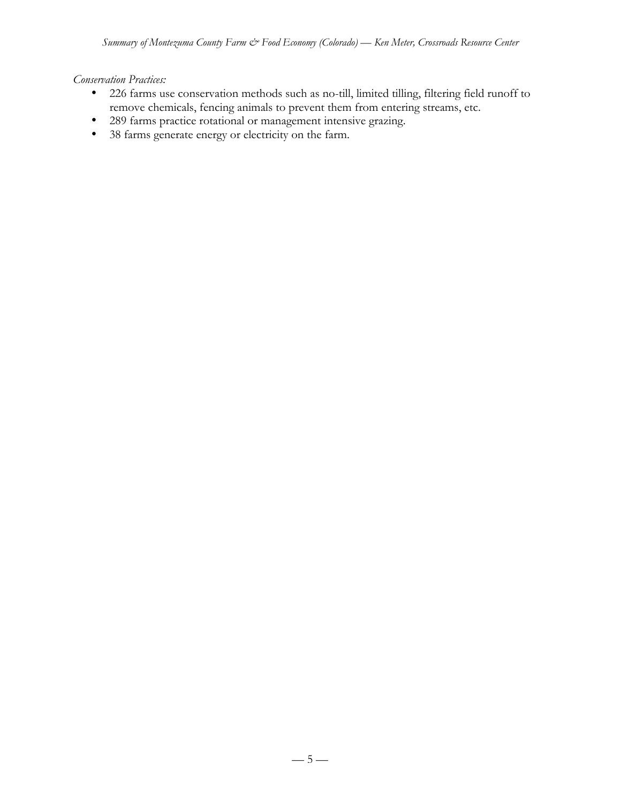# *Conservation Practices:*

- 226 farms use conservation methods such as no-till, limited tilling, filtering field runoff to remove chemicals, fencing animals to prevent them from entering streams, etc.
- 289 farms practice rotational or management intensive grazing.
- 38 farms generate energy or electricity on the farm.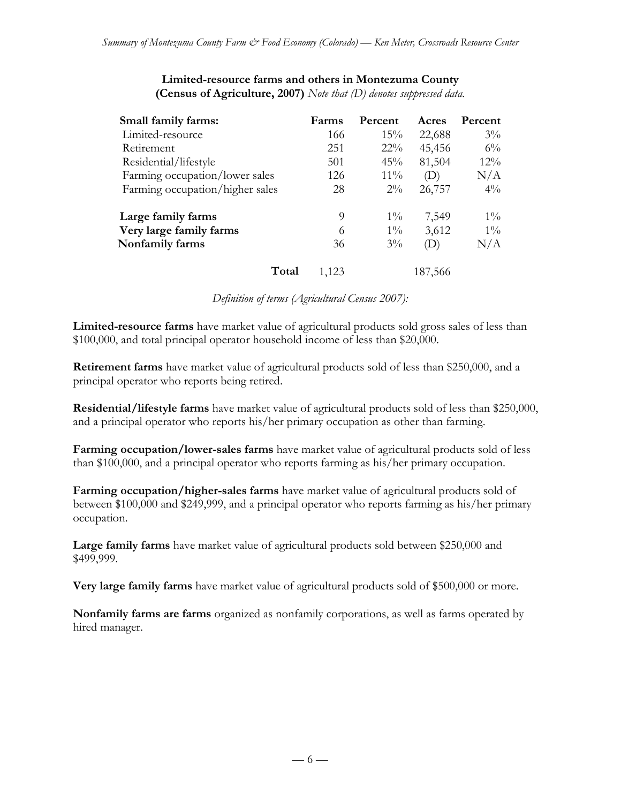| Small family farms:             | Farms | Percent | Acres   | Percent |
|---------------------------------|-------|---------|---------|---------|
| Limited-resource                | 166   | 15%     | 22,688  | $3\%$   |
| Retirement                      | 251   | $22\%$  | 45,456  | $6\%$   |
| Residential/lifestyle           | 501   | 45%     | 81,504  | $12\%$  |
| Farming occupation/lower sales  | 126   | $11\%$  | (D)     | N/A     |
| Farming occupation/higher sales | 28    | $2\%$   | 26,757  | $4\%$   |
| Large family farms              | 9     | $1\%$   | 7,549   | $1\%$   |
| Very large family farms         | 6     | $1\%$   | 3,612   | $1\%$   |
| Nonfamily farms                 | 36    | $3\%$   | (D)     | N/A     |
| Total                           | 1,123 |         | 187,566 |         |

#### **Limited-resource farms and others in Montezuma County (Census of Agriculture, 2007)** *Note that (D) denotes suppressed data.*

*Definition of terms (Agricultural Census 2007):*

**Limited-resource farms** have market value of agricultural products sold gross sales of less than \$100,000, and total principal operator household income of less than \$20,000.

**Retirement farms** have market value of agricultural products sold of less than \$250,000, and a principal operator who reports being retired.

**Residential/lifestyle farms** have market value of agricultural products sold of less than \$250,000, and a principal operator who reports his/her primary occupation as other than farming.

**Farming occupation/lower-sales farms** have market value of agricultural products sold of less than \$100,000, and a principal operator who reports farming as his/her primary occupation.

**Farming occupation/higher-sales farms** have market value of agricultural products sold of between \$100,000 and \$249,999, and a principal operator who reports farming as his/her primary occupation.

**Large family farms** have market value of agricultural products sold between \$250,000 and \$499,999.

**Very large family farms** have market value of agricultural products sold of \$500,000 or more.

**Nonfamily farms are farms** organized as nonfamily corporations, as well as farms operated by hired manager.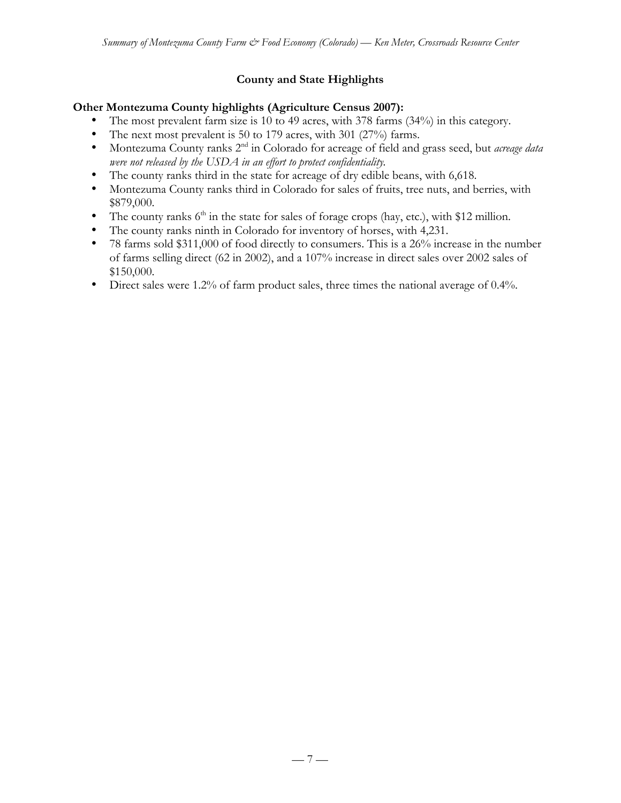# **County and State Highlights**

#### **Other Montezuma County highlights (Agriculture Census 2007):**

- The most prevalent farm size is 10 to 49 acres, with 378 farms (34%) in this category.
- The next most prevalent is 50 to 179 acres, with 301 (27%) farms.
- Montezuma County ranks 2nd in Colorado for acreage of field and grass seed, but *acreage data were not released by the USDA in an effort to protect confidentiality.*
- The county ranks third in the state for acreage of dry edible beans, with 6,618.
- Montezuma County ranks third in Colorado for sales of fruits, tree nuts, and berries, with \$879,000.
- The county ranks  $6<sup>th</sup>$  in the state for sales of forage crops (hay, etc.), with \$12 million.
- The county ranks ninth in Colorado for inventory of horses, with 4,231.
- 78 farms sold \$311,000 of food directly to consumers. This is a 26% increase in the number of farms selling direct (62 in 2002), and a 107% increase in direct sales over 2002 sales of \$150,000.
- Direct sales were 1.2% of farm product sales, three times the national average of 0.4%.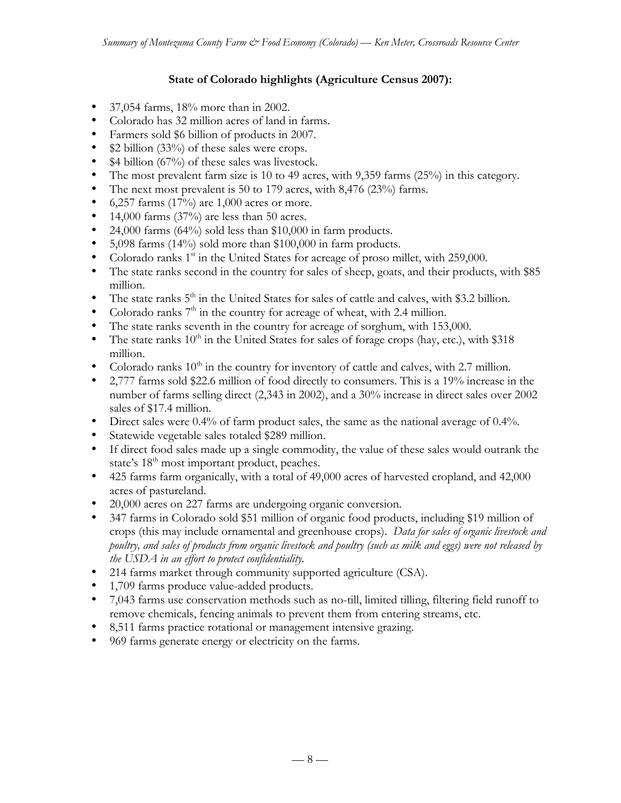# **State of Colorado highlights (Agriculture Census 2007):**

- 37,054 farms, 18% more than in 2002.
- Colorado has 32 million acres of land in farms.
- Farmers sold \$6 billion of products in 2007.
- \$2 billion (33%) of these sales were crops.
- \$4 billion (67%) of these sales was livestock.
- The most prevalent farm size is 10 to 49 acres, with 9,359 farms (25%) in this category.
- The next most prevalent is 50 to 179 acres, with 8,476 (23%) farms.
- $6,257$  farms (17%) are 1,000 acres or more.
- 14,000 farms  $(37%)$  are less than 50 acres.
- 24,000 farms (64%) sold less than \$10,000 in farm products.
- 5,098 farms (14%) sold more than \$100,000 in farm products.
- Colorado ranks  $1<sup>st</sup>$  in the United States for acreage of proso millet, with 259,000.
- The state ranks second in the country for sales of sheep, goats, and their products, with \$85 million.
- The state ranks  $5<sup>th</sup>$  in the United States for sales of cattle and calves, with \$3.2 billion.
- Colorado ranks  $7<sup>th</sup>$  in the country for acreage of wheat, with 2.4 million.
- The state ranks seventh in the country for acreage of sorghum, with 153,000.
- The state ranks  $10^{th}$  in the United States for sales of forage crops (hay, etc.), with \$318 million.
- Colorado ranks  $10<sup>th</sup>$  in the country for inventory of cattle and calves, with 2.7 million.
- 2,777 farms sold \$22.6 million of food directly to consumers. This is a 19% increase in the number of farms selling direct (2,343 in 2002), and a 30% increase in direct sales over 2002 sales of \$17.4 million.
- Direct sales were 0.4% of farm product sales, the same as the national average of 0.4%.
- Statewide vegetable sales totaled \$289 million.
- If direct food sales made up a single commodity, the value of these sales would outrank the state's 18<sup>th</sup> most important product, peaches.
- 425 farms farm organically, with a total of 49,000 acres of harvested cropland, and 42,000 acres of pastureland.
- 20,000 acres on 227 farms are undergoing organic conversion.
- 347 farms in Colorado sold \$51 million of organic food products, including \$19 million of crops (this may include ornamental and greenhouse crops). *Data for sales of organic livestock and poultry, and sales of products from organic livestock and poultry (such as milk and eggs) were not released by the USDA in an effort to protect confidentiality.*
- 214 farms market through community supported agriculture (CSA).
- 1,709 farms produce value-added products.
- 7,043 farms use conservation methods such as no-till, limited tilling, filtering field runoff to remove chemicals, fencing animals to prevent them from entering streams, etc.
- 8,511 farms practice rotational or management intensive grazing.
- 969 farms generate energy or electricity on the farms.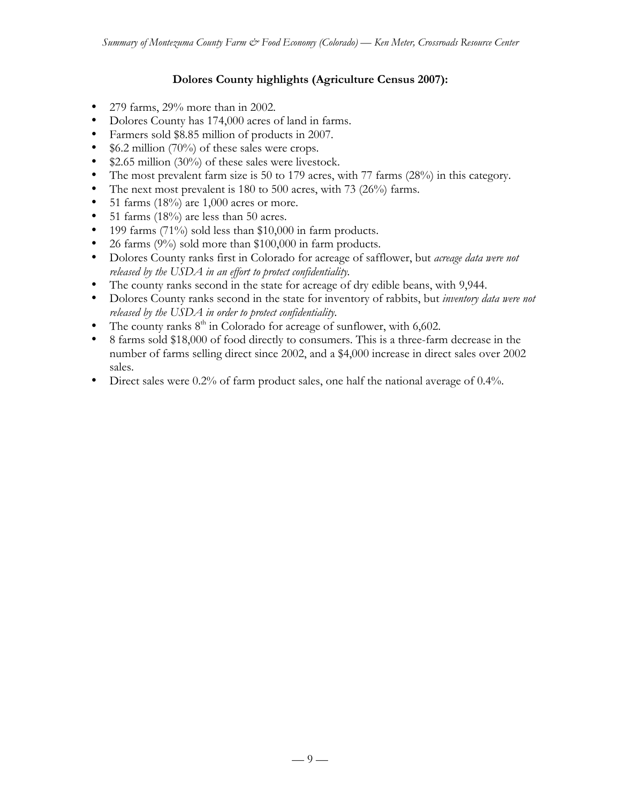# **Dolores County highlights (Agriculture Census 2007):**

- 279 farms, 29% more than in 2002.
- Dolores County has 174,000 acres of land in farms.
- Farmers sold \$8.85 million of products in 2007.
- \$6.2 million (70%) of these sales were crops.
- \$2.65 million (30%) of these sales were livestock.
- The most prevalent farm size is 50 to 179 acres, with 77 farms (28%) in this category.
- The next most prevalent is 180 to 500 acres, with 73 (26%) farms.
- 51 farms  $(18\%)$  are 1,000 acres or more.
- 51 farms (18%) are less than 50 acres.
- 199 farms (71%) sold less than \$10,000 in farm products.
- 26 farms (9%) sold more than \$100,000 in farm products.
- Dolores County ranks first in Colorado for acreage of safflower, but *acreage data were not released by the USDA in an effort to protect confidentiality.*
- The county ranks second in the state for acreage of dry edible beans, with 9,944.
- Dolores County ranks second in the state for inventory of rabbits, but *inventory data were not released by the USDA in order to protect confidentiality.*
- The county ranks  $8<sup>th</sup>$  in Colorado for acreage of sunflower, with 6,602.
- 8 farms sold \$18,000 of food directly to consumers. This is a three-farm decrease in the number of farms selling direct since 2002, and a \$4,000 increase in direct sales over 2002 sales.
- Direct sales were 0.2% of farm product sales, one half the national average of 0.4%.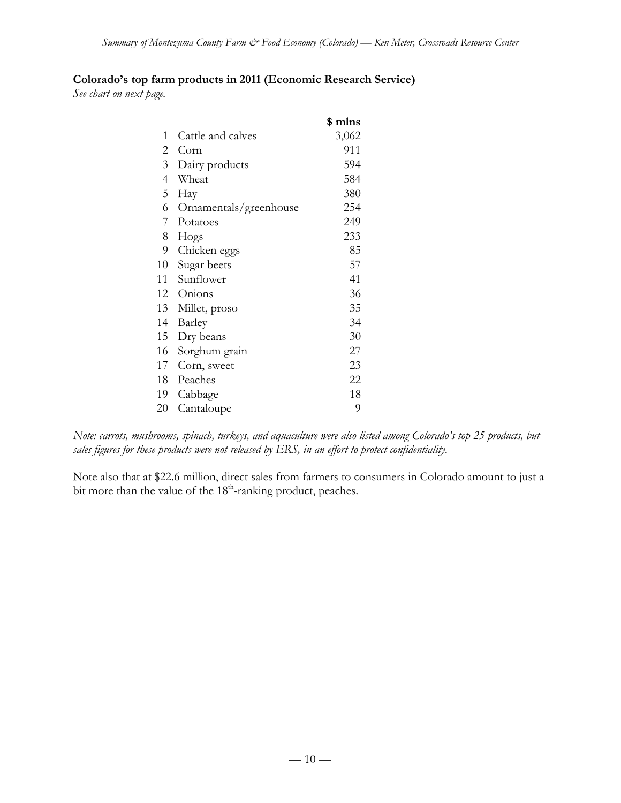#### **Colorado's top farm products in 2011 (Economic Research Service)**

*See chart on next page.*

|                |                        | \$ mlns |
|----------------|------------------------|---------|
| 1              | Cattle and calves      | 3,062   |
| $\overline{2}$ | Corn                   | 911     |
| $\overline{3}$ | Dairy products         | 594     |
| $\overline{4}$ | Wheat                  | 584     |
| 5              | Hay                    | 380     |
| 6              | Ornamentals/greenhouse | 254     |
| 7              | Potatoes               | 249     |
| 8              | Hogs                   | 233     |
| 9              | Chicken eggs           | 85      |
| 10             | Sugar beets            | 57      |
| 11             | Sunflower              | 41      |
| 12             | Onions                 | 36      |
| 13             | Millet, proso          | 35      |
| 14             | Barley                 | 34      |
| 15             | Dry beans              | 30      |
| 16             | Sorghum grain          | 27      |
| 17             | Corn, sweet            | 23      |
| 18             | Peaches                | 22      |
| 19             | Cabbage                | 18      |
| 20             | Cantaloupe             | 9       |

*Note: carrots, mushrooms, spinach, turkeys, and aquaculture were also listed among Colorado's top 25 products, but sales figures for these products were not released by ERS, in an effort to protect confidentiality.*

Note also that at \$22.6 million, direct sales from farmers to consumers in Colorado amount to just a bit more than the value of the 18<sup>th</sup>-ranking product, peaches.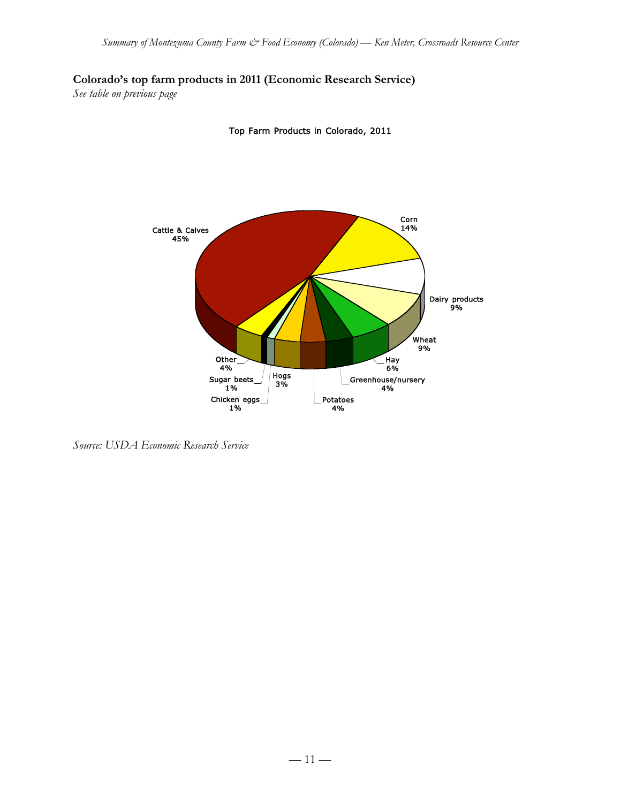**Colorado's top farm products in 2011 (Economic Research Service)**

*See table on previous page*



Top Farm Products in Colorado, 2011

*Source: USDA Economic Research Service*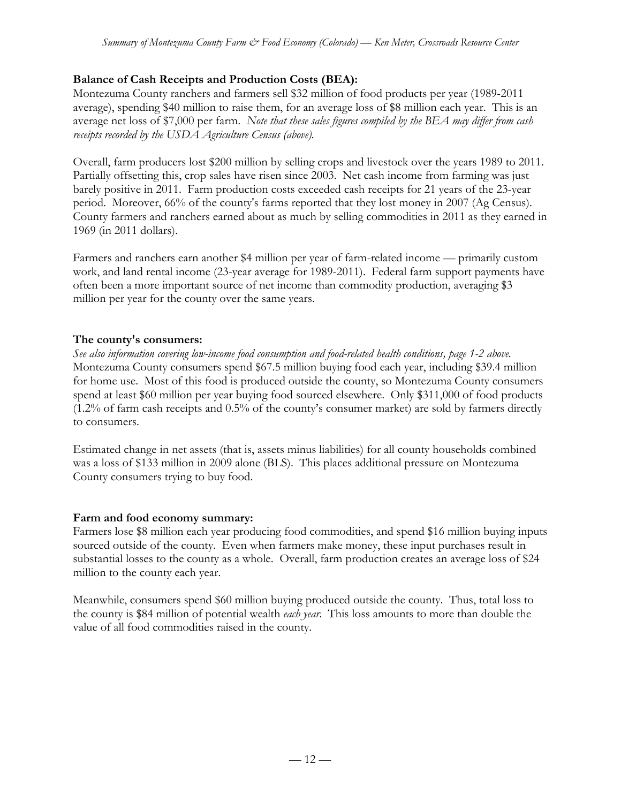# **Balance of Cash Receipts and Production Costs (BEA):**

Montezuma County ranchers and farmers sell \$32 million of food products per year (1989-2011 average), spending \$40 million to raise them, for an average loss of \$8 million each year. This is an average net loss of \$7,000 per farm. *Note that these sales figures compiled by the BEA may differ from cash receipts recorded by the USDA Agriculture Census (above).*

Overall, farm producers lost \$200 million by selling crops and livestock over the years 1989 to 2011. Partially offsetting this, crop sales have risen since 2003. Net cash income from farming was just barely positive in 2011. Farm production costs exceeded cash receipts for 21 years of the 23-year period. Moreover, 66% of the county's farms reported that they lost money in 2007 (Ag Census). County farmers and ranchers earned about as much by selling commodities in 2011 as they earned in 1969 (in 2011 dollars).

Farmers and ranchers earn another \$4 million per year of farm-related income — primarily custom work, and land rental income (23-year average for 1989-2011). Federal farm support payments have often been a more important source of net income than commodity production, averaging \$3 million per year for the county over the same years.

# **The county's consumers:**

*See also information covering low-income food consumption and food-related health conditions, page 1-2 above.* Montezuma County consumers spend \$67.5 million buying food each year, including \$39.4 million for home use. Most of this food is produced outside the county, so Montezuma County consumers spend at least \$60 million per year buying food sourced elsewhere. Only \$311,000 of food products (1.2% of farm cash receipts and 0.5% of the county's consumer market) are sold by farmers directly to consumers.

Estimated change in net assets (that is, assets minus liabilities) for all county households combined was a loss of \$133 million in 2009 alone (BLS). This places additional pressure on Montezuma County consumers trying to buy food.

# **Farm and food economy summary:**

Farmers lose \$8 million each year producing food commodities, and spend \$16 million buying inputs sourced outside of the county. Even when farmers make money, these input purchases result in substantial losses to the county as a whole. Overall, farm production creates an average loss of \$24 million to the county each year.

Meanwhile, consumers spend \$60 million buying produced outside the county. Thus, total loss to the county is \$84 million of potential wealth *each year*. This loss amounts to more than double the value of all food commodities raised in the county.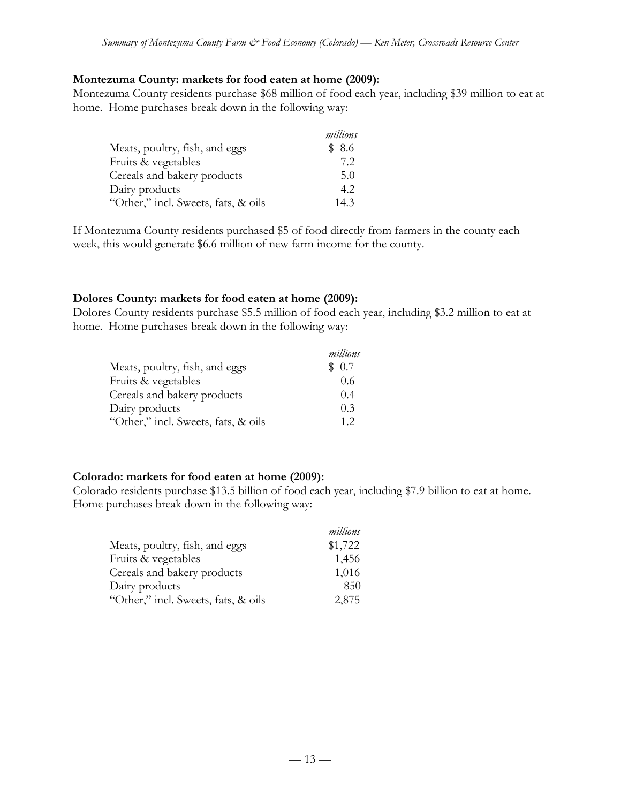#### **Montezuma County: markets for food eaten at home (2009):**

Montezuma County residents purchase \$68 million of food each year, including \$39 million to eat at home. Home purchases break down in the following way:

|                                     | millions |
|-------------------------------------|----------|
| Meats, poultry, fish, and eggs      | \$8.6    |
| Fruits & vegetables                 | 7.2      |
| Cereals and bakery products         | 5.0      |
| Dairy products                      | 4.2      |
| "Other," incl. Sweets, fats, & oils | 14.3     |

If Montezuma County residents purchased \$5 of food directly from farmers in the county each week, this would generate \$6.6 million of new farm income for the county.

#### **Dolores County: markets for food eaten at home (2009):**

Dolores County residents purchase \$5.5 million of food each year, including \$3.2 million to eat at home. Home purchases break down in the following way:

|                                     | millions |
|-------------------------------------|----------|
| Meats, poultry, fish, and eggs      | \$0.7    |
| Fruits & vegetables                 | 0.6      |
| Cereals and bakery products         | 0.4      |
| Dairy products                      | 0.3      |
| "Other," incl. Sweets, fats, & oils | 12       |

#### **Colorado: markets for food eaten at home (2009):**

Colorado residents purchase \$13.5 billion of food each year, including \$7.9 billion to eat at home. Home purchases break down in the following way:

|                                     | millions |
|-------------------------------------|----------|
| Meats, poultry, fish, and eggs      | \$1,722  |
| Fruits & vegetables                 | 1,456    |
| Cereals and bakery products         | 1,016    |
| Dairy products                      | 850      |
| "Other," incl. Sweets, fats, & oils | 2,875    |